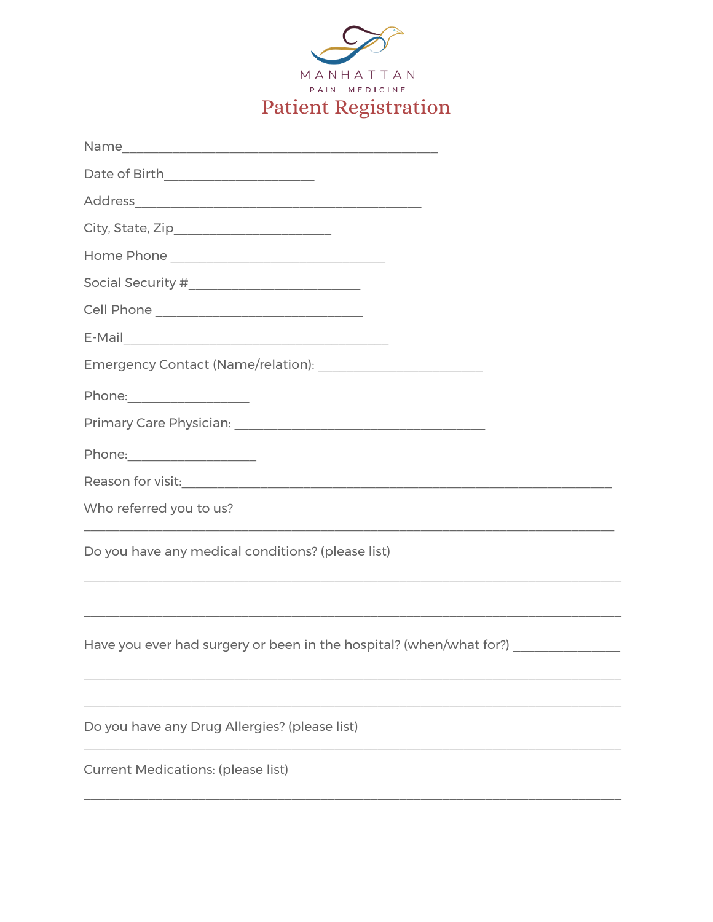| МАΝНАТТАΝ                   |  |
|-----------------------------|--|
| PAIN MEDICINE               |  |
| <b>Patient Registration</b> |  |

| Social Security #__________________________                                                                           |
|-----------------------------------------------------------------------------------------------------------------------|
| Cell Phone __________________________________                                                                         |
|                                                                                                                       |
|                                                                                                                       |
|                                                                                                                       |
|                                                                                                                       |
| Phone: ______________________                                                                                         |
|                                                                                                                       |
| Who referred you to us?                                                                                               |
| Do you have any medical conditions? (please list)                                                                     |
| <u> 1989 - Johann Stoff, deutscher Stoff, der Stoff, der Stoff, der Stoff, der Stoff, der Stoff, der Stoff, der S</u> |
| Have you ever had surgery or been in the hospital? (when/what for?) ____________                                      |
|                                                                                                                       |
| Do you have any Drug Allergies? (please list)                                                                         |
| <b>Current Medications: (please list)</b>                                                                             |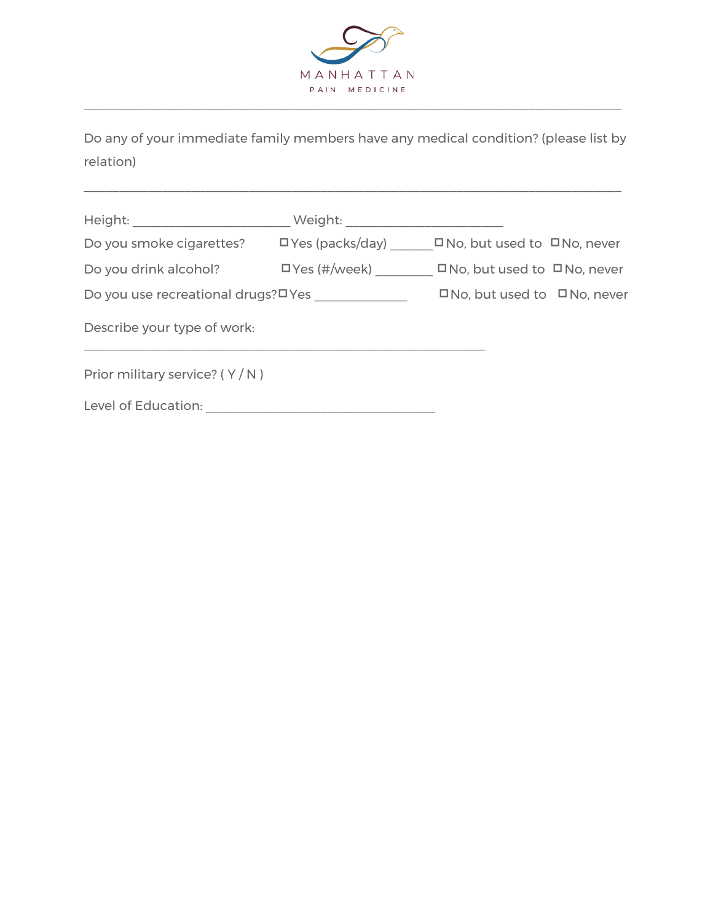

Do any of your immediate family members have any medical condition? (please list by relation)

 $\_$  , and the contribution of the contribution of the contribution of the contribution of  $\mathcal{L}_\text{max}$ 

| Height: will be a serious of the serious serious serious serious serious serious serious serious serious serio | Weight:                   |                                         |  |
|----------------------------------------------------------------------------------------------------------------|---------------------------|-----------------------------------------|--|
| Do you smoke cigarettes?                                                                                       | $\square$ Yes (packs/day) | $\Box$ No, but used to $\Box$ No, never |  |
| Do you drink alcohol?                                                                                          | $\square$ Yes (#/week)    | $\Box$ No, but used to $\Box$ No, never |  |
| Do you use recreational drugs?¤Yes                                                                             |                           | $\Box$ No, but used to $\Box$ No, never |  |
| Describe your type of work:                                                                                    |                           |                                         |  |
| Prior military service? $(Y/N)$                                                                                |                           |                                         |  |
| Level of Education:                                                                                            |                           |                                         |  |
|                                                                                                                |                           |                                         |  |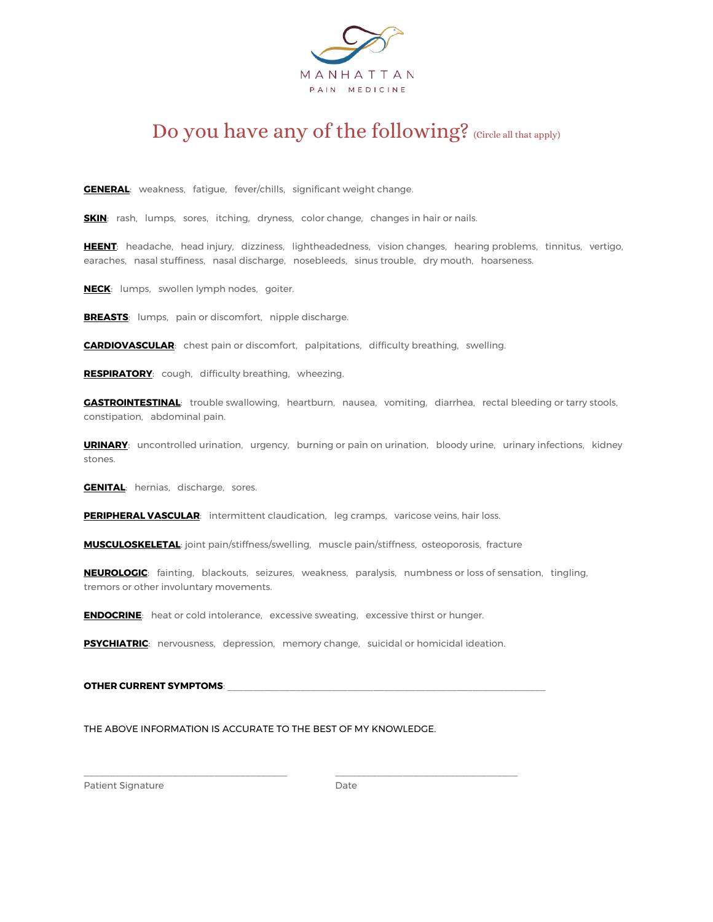

# Do you have any of the following? (Circle all that apply)

**GENERAL**: weakness, fatigue, fever/chills, significant weight change.

**SKIN**: rash, lumps, sores, itching, dryness, color change, changes in hair or nails.

**HEENT**: headache, head injury, dizziness, lightheadedness, vision changes, hearing problems, tinnitus, vertigo, earaches, nasal stuffiness, nasal discharge, nosebleeds, sinus trouble, dry mouth, hoarseness.

**NECK**: lumps, swollen lymph nodes, goiter.

**BREASTS**: lumps, pain or discomfort, nipple discharge.

**CARDIOVASCULAR**: chest pain or discomfort, palpitations, difficulty breathing, swelling.

**RESPIRATORY**: cough, difficulty breathing, wheezing.

**GASTROINTESTINAL**: trouble swallowing, heartburn, nausea, vomiting, diarrhea, rectal bleeding or tarry stools, constipation, abdominal pain.

**URINARY**: uncontrolled urination, urgency, burning or pain on urination, bloody urine, urinary infections, kidney stones.

**GENITAL:** hernias, discharge, sores.

**PERIPHERAL VASCULAR:** intermittent claudication, leg cramps, varicose veins, hair loss.

**MUSCULOSKELETAL**: joint pain/stiffness/swelling, muscle pain/stiffness, osteoporosis, fracture

**NEUROLOGIC**: fainting, blackouts, seizures, weakness, paralysis, numbness or loss of sensation, tingling, tremors or other involuntary movements.

**ENDOCRINE**: heat or cold intolerance, excessive sweating, excessive thirst or hunger.

**PSYCHIATRIC**: nervousness, depression, memory change, suicidal or homicidal ideation.

 $\_$  , and the set of the set of the set of the set of the set of the set of the set of the set of the set of the set of the set of the set of the set of the set of the set of the set of the set of the set of the set of th

#### **OTHER CURRENT SYMPTOMS:**

THE ABOVE INFORMATION IS ACCURATE TO THE BEST OF MY KNOWLEDGE.

Patient Signature Date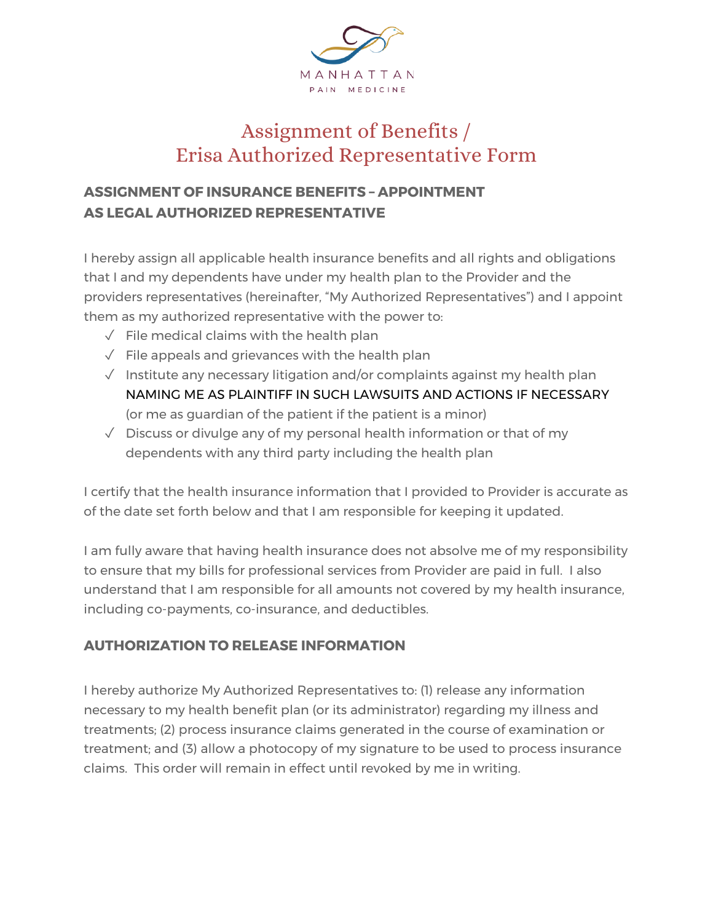

# Assignment of Benefits / Erisa Authorized Representative Form

## **ASSIGNMENT OF INSURANCE BENEFITS – APPOINTMENT AS LEGAL AUTHORIZED REPRESENTATIVE**

I hereby assign all applicable health insurance benefits and all rights and obligations that I and my dependents have under my health plan to the Provider and the providers representatives (hereinafter, "My Authorized Representatives") and I appoint them as my authorized representative with the power to:

- $\sqrt{\phantom{a}}$  File medical claims with the health plan
- $\sqrt{\phantom{a}}$  File appeals and grievances with the health plan
- $\sqrt{ }$  Institute any necessary litigation and/or complaints against my health plan NAMING ME AS PLAINTIFF IN SUCH LAWSUITS AND ACTIONS IF NECESSARY (or me as guardian of the patient if the patient is a minor)
- $\sqrt{ }$  Discuss or divulge any of my personal health information or that of my dependents with any third party including the health plan

I certify that the health insurance information that I provided to Provider is accurate as of the date set forth below and that I am responsible for keeping it updated.

I am fully aware that having health insurance does not absolve me of my responsibility to ensure that my bills for professional services from Provider are paid in full. I also understand that I am responsible for all amounts not covered by my health insurance, including co-payments, co-insurance, and deductibles.

### **AUTHORIZATION TO RELEASE INFORMATION**

I hereby authorize My Authorized Representatives to: (1) release any information necessary to my health benefit plan (or its administrator) regarding my illness and treatments; (2) process insurance claims generated in the course of examination or treatment; and (3) allow a photocopy of my signature to be used to process insurance claims. This order will remain in effect until revoked by me in writing.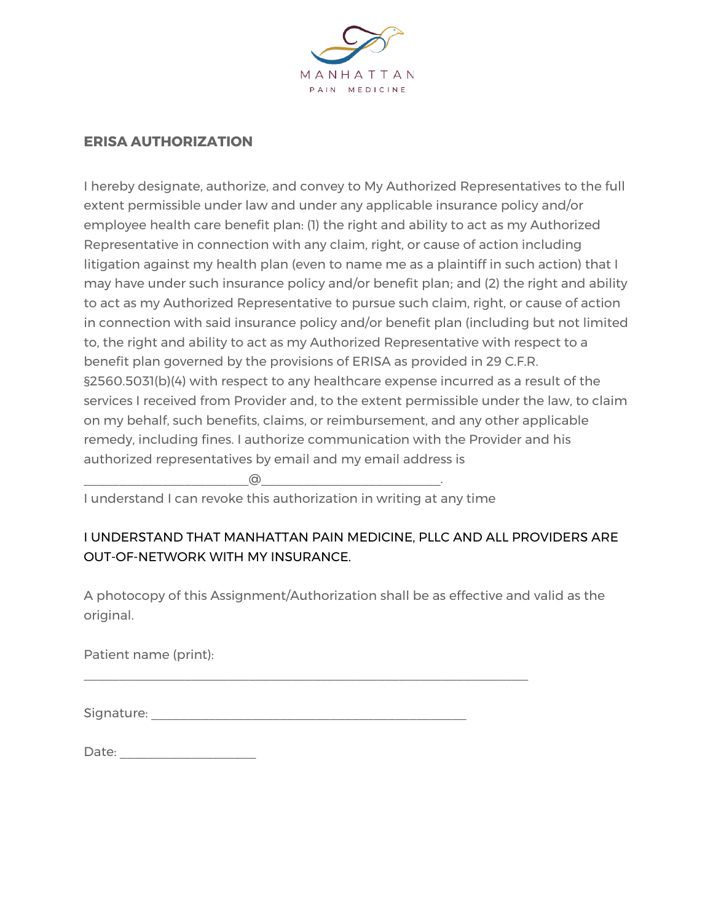

#### **ERISA AUTHORIZATION**

I hereby designate, authorize, and convey to My Authorized Representatives to the full extent permissible under law and under any applicable insurance policy and/or employee health care benefit plan: (1) the right and ability to act as my Authorized Representative in connection with any claim, right, or cause of action including litigation against my health plan (even to name me as a plaintiff in such action) that I may have under such insurance policy and/or benefit plan; and (2) the right and ability to act as my Authorized Representative to pursue such claim, right, or cause of action in connection with said insurance policy and/or benefit plan (including but not limited to, the right and ability to act as my Authorized Representative with respect to a benefit plan governed by the provisions of ERISA as provided in 29 C.F.R. §2560.5031(b)(4) with respect to any healthcare expense incurred as a result of the services I received from Provider and, to the extent permissible under the law, to claim on my behalf, such benefits, claims, or reimbursement, and any other applicable remedy, including fines. I authorize communication with the Provider and his authorized representatives by email and my email address is

\_\_\_\_\_\_\_\_\_\_\_\_\_\_\_\_\_\_\_\_\_\_\_@\_\_\_\_\_\_\_\_\_\_\_\_\_\_\_\_\_\_\_\_\_\_\_\_\_.

I understand I can revoke this authorization in writing at any time

### I UNDERSTAND THAT MANHATTAN PAIN MEDICINE, PLLC AND ALL PROVIDERS ARE OUT-OF-NETWORK WITH MY INSURANCE.

A photocopy of this Assignment/Authorization shall be as effective and valid as the original.

Patient name (print):

Signature: \_\_\_\_\_\_\_\_\_\_\_\_\_\_\_\_\_\_\_\_\_\_\_\_\_\_\_\_\_\_\_\_\_\_\_\_\_\_\_\_\_\_\_\_

\_\_\_\_\_\_\_\_\_\_\_\_\_\_\_\_\_\_\_\_\_\_\_\_\_\_\_\_\_\_\_\_\_\_\_\_\_\_\_\_\_\_\_\_\_\_\_\_\_\_\_\_\_\_\_\_\_\_\_\_\_\_

| Date: |  |
|-------|--|
|       |  |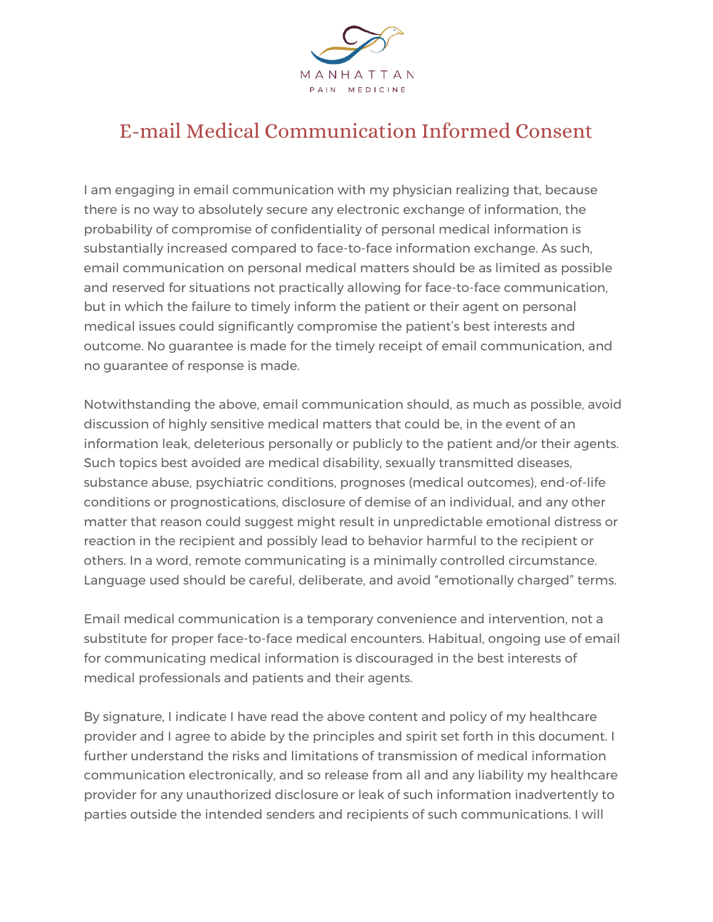

# E-mail Medical Communication Informed Consent

I am engaging in email communication with my physician realizing that, because there is no way to absolutely secure any electronic exchange of information, the probability of compromise of confidentiality of personal medical information is substantially increased compared to face-to-face information exchange. As such, email communication on personal medical matters should be as limited as possible and reserved for situations not practically allowing for face-to-face communication, but in which the failure to timely inform the patient or their agent on personal medical issues could significantly compromise the patient's best interests and outcome. No guarantee is made for the timely receipt of email communication, and no guarantee of response is made.

Notwithstanding the above, email communication should, as much as possible, avoid discussion of highly sensitive medical matters that could be, in the event of an information leak, deleterious personally or publicly to the patient and/or their agents. Such topics best avoided are medical disability, sexually transmitted diseases, substance abuse, psychiatric conditions, prognoses (medical outcomes), end-of-life conditions or prognostications, disclosure of demise of an individual, and any other matter that reason could suggest might result in unpredictable emotional distress or reaction in the recipient and possibly lead to behavior harmful to the recipient or others. In a word, remote communicating is a minimally controlled circumstance. Language used should be careful, deliberate, and avoid "emotionally charged" terms.

Email medical communication is a temporary convenience and intervention, not a substitute for proper face-to-face medical encounters. Habitual, ongoing use of email for communicating medical information is discouraged in the best interests of medical professionals and patients and their agents.

By signature, I indicate I have read the above content and policy of my healthcare provider and I agree to abide by the principles and spirit set forth in this document. I further understand the risks and limitations of transmission of medical information communication electronically, and so release from all and any liability my healthcare provider for any unauthorized disclosure or leak of such information inadvertently to parties outside the intended senders and recipients of such communications. I will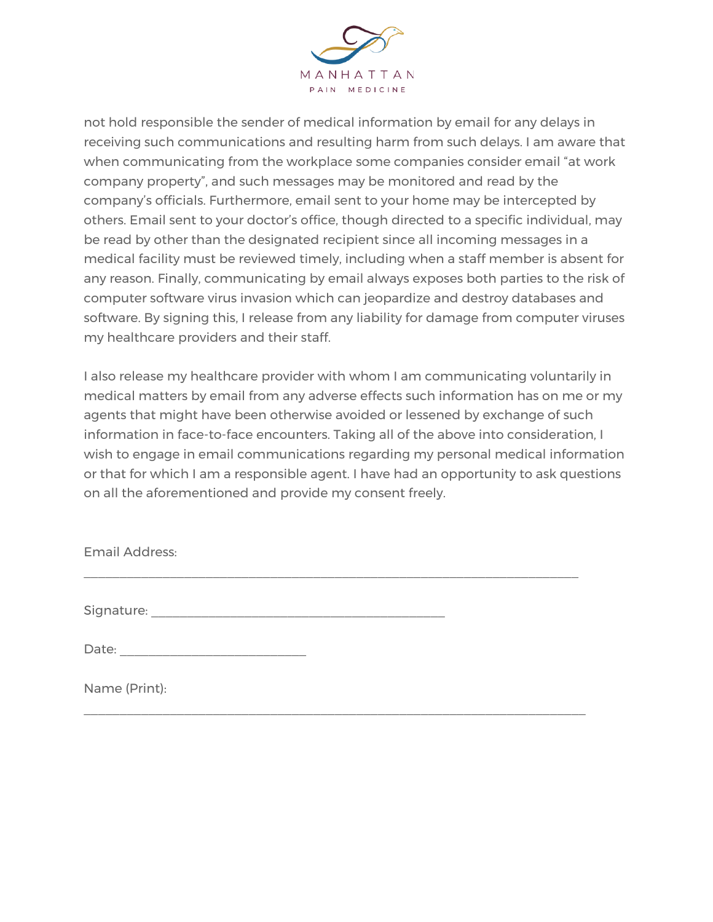

not hold responsible the sender of medical information by email for any delays in receiving such communications and resulting harm from such delays. I am aware that when communicating from the workplace some companies consider email "at work company property", and such messages may be monitored and read by the company's officials. Furthermore, email sent to your home may be intercepted by others. Email sent to your doctor's office, though directed to a specific individual, may be read by other than the designated recipient since all incoming messages in a medical facility must be reviewed timely, including when a staff member is absent for any reason. Finally, communicating by email always exposes both parties to the risk of computer software virus invasion which can jeopardize and destroy databases and software. By signing this, I release from any liability for damage from computer viruses my healthcare providers and their staff.

I also release my healthcare provider with whom I am communicating voluntarily in medical matters by email from any adverse effects such information has on me or my agents that might have been otherwise avoided or lessened by exchange of such information in face-to-face encounters. Taking all of the above into consideration, I wish to engage in email communications regarding my personal medical information or that for which I am a responsible agent. I have had an opportunity to ask questions on all the aforementioned and provide my consent freely.

\_\_\_\_\_\_\_\_\_\_\_\_\_\_\_\_\_\_\_\_\_\_\_\_\_\_\_\_\_\_\_\_\_\_\_\_\_\_\_\_\_\_\_\_\_\_\_\_\_\_\_\_\_\_\_\_\_\_\_\_\_\_\_\_\_\_\_\_\_

\_\_\_\_\_\_\_\_\_\_\_\_\_\_\_\_\_\_\_\_\_\_\_\_\_\_\_\_\_\_\_\_\_\_\_\_\_\_\_\_\_\_\_\_\_\_\_\_\_\_\_\_\_\_\_\_\_\_\_\_\_\_\_\_\_\_\_\_\_\_

Email Address:

Signature:  $\blacksquare$ 

Date:

Name (Print):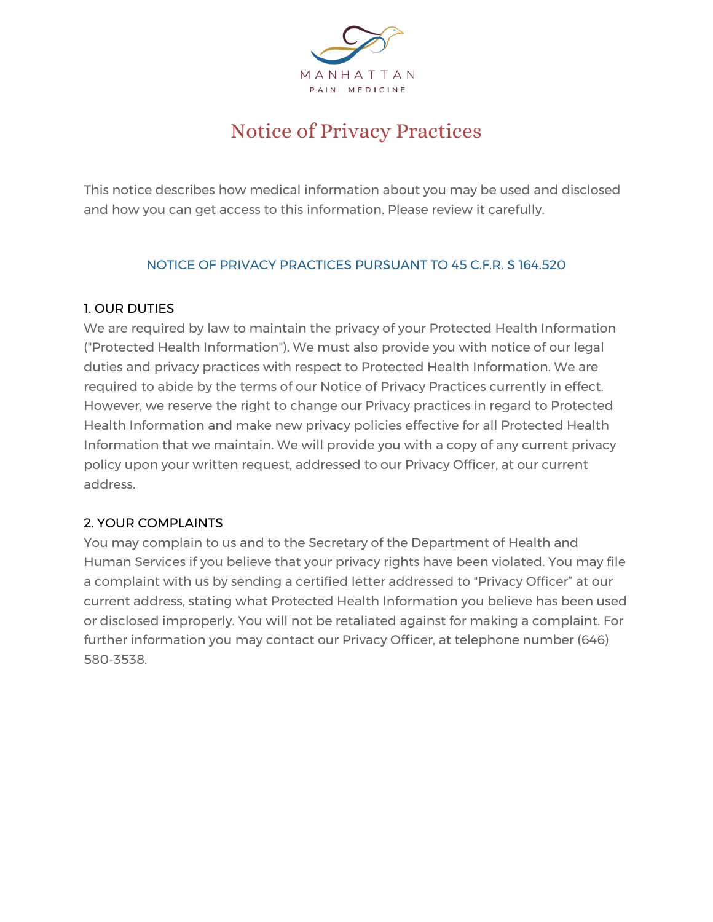

# Notice of Privacy Practices

This notice describes how medical information about you may be used and disclosed and how you can get access to this information. Please review it carefully.

#### NOTICE OF PRIVACY PRACTICES PURSUANT TO 45 C.F.R. S 164.520

#### 1. OUR DUTIES

We are required by law to maintain the privacy of your Protected Health Information ("Protected Health Information"). We must also provide you with notice of our legal duties and privacy practices with respect to Protected Health Information. We are required to abide by the terms of our Notice of Privacy Practices currently in effect. However, we reserve the right to change our Privacy practices in regard to Protected Health Information and make new privacy policies effective for all Protected Health Information that we maintain. We will provide you with a copy of any current privacy policy upon your written request, addressed to our Privacy Officer, at our current address.

#### 2. YOUR COMPLAINTS

You may complain to us and to the Secretary of the Department of Health and Human Services if you believe that your privacy rights have been violated. You may file a complaint with us by sending a certified letter addressed to "Privacy Officer" at our current address, stating what Protected Health Information you believe has been used or disclosed improperly. You will not be retaliated against for making a complaint. For further information you may contact our Privacy Officer, at telephone number (646) 580-3538.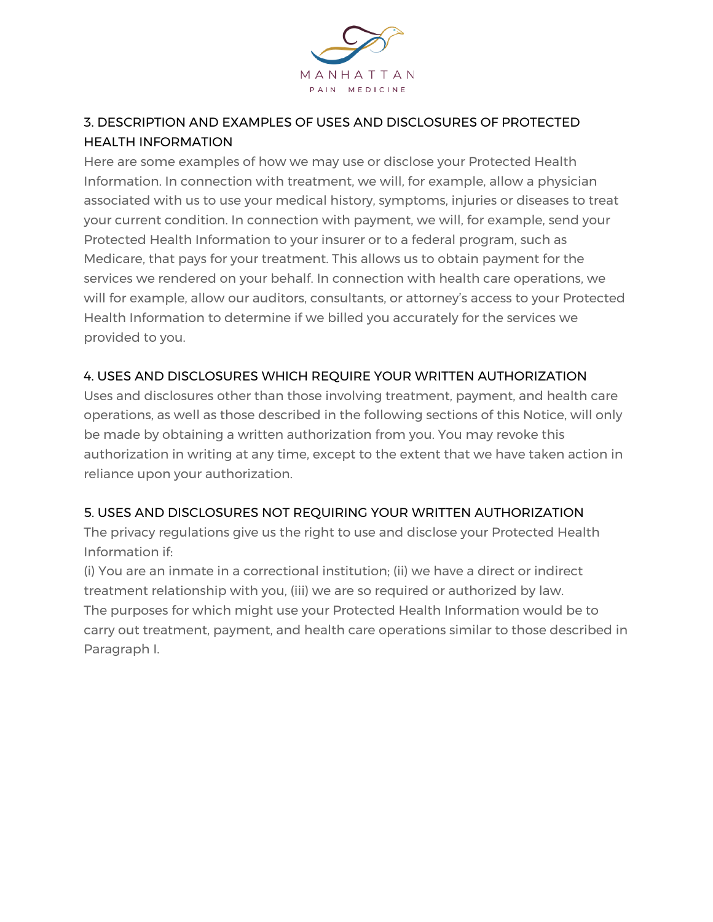

### 3. DESCRIPTION AND EXAMPLES OF USES AND DISCLOSURES OF PROTECTED HEALTH INFORMATION

Here are some examples of how we may use or disclose your Protected Health Information. In connection with treatment, we will, for example, allow a physician associated with us to use your medical history, symptoms, injuries or diseases to treat your current condition. In connection with payment, we will, for example, send your Protected Health Information to your insurer or to a federal program, such as Medicare, that pays for your treatment. This allows us to obtain payment for the services we rendered on your behalf. In connection with health care operations, we will for example, allow our auditors, consultants, or attorney's access to your Protected Health Information to determine if we billed you accurately for the services we provided to you.

#### 4. USES AND DISCLOSURES WHICH REQUIRE YOUR WRITTEN AUTHORIZATION

Uses and disclosures other than those involving treatment, payment, and health care operations, as well as those described in the following sections of this Notice, will only be made by obtaining a written authorization from you. You may revoke this authorization in writing at any time, except to the extent that we have taken action in reliance upon your authorization.

#### 5. USES AND DISCLOSURES NOT REQUIRING YOUR WRITTEN AUTHORIZATION

The privacy regulations give us the right to use and disclose your Protected Health Information if:

(i) You are an inmate in a correctional institution; (ii) we have a direct or indirect treatment relationship with you, (iii) we are so required or authorized by law. The purposes for which might use your Protected Health Information would be to carry out treatment, payment, and health care operations similar to those described in Paragraph I.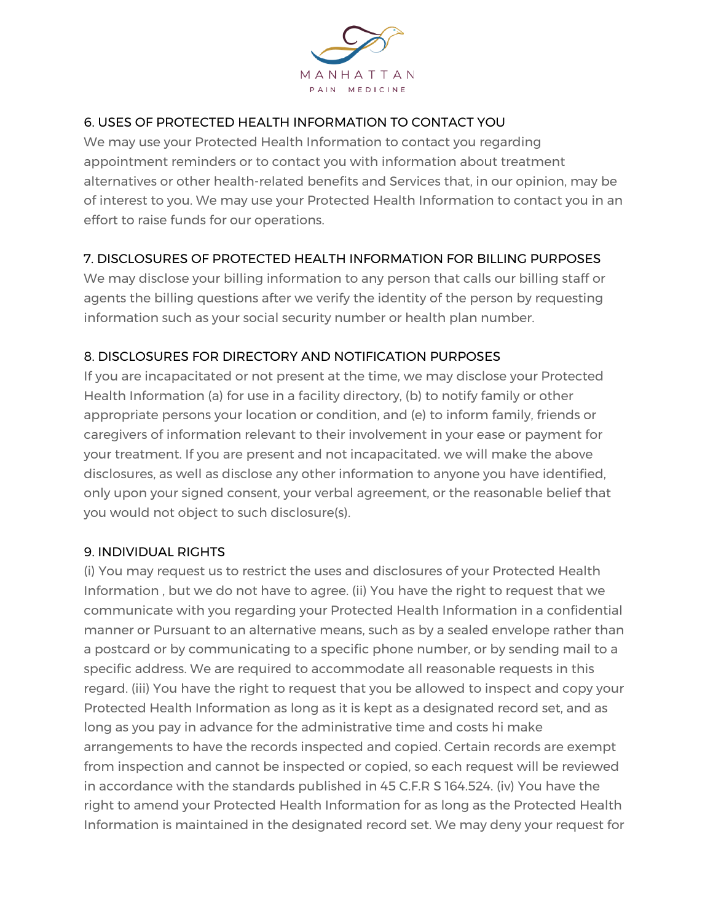

### 6. USES OF PROTECTED HEALTH INFORMATION TO CONTACT YOU

We may use your Protected Health Information to contact you regarding appointment reminders or to contact you with information about treatment alternatives or other health-related benefits and Services that, in our opinion, may be of interest to you. We may use your Protected Health Information to contact you in an effort to raise funds for our operations.

#### 7. DISCLOSURES OF PROTECTED HEALTH INFORMATION FOR BILLING PURPOSES

We may disclose your billing information to any person that calls our billing staff or agents the billing questions after we verify the identity of the person by requesting information such as your social security number or health plan number.

#### 8. DISCLOSURES FOR DIRECTORY AND NOTIFICATION PURPOSES

If you are incapacitated or not present at the time, we may disclose your Protected Health Information (a) for use in a facility directory, (b) to notify family or other appropriate persons your location or condition, and (e) to inform family, friends or caregivers of information relevant to their involvement in your ease or payment for your treatment. If you are present and not incapacitated. we will make the above disclosures, as well as disclose any other information to anyone you have identified, only upon your signed consent, your verbal agreement, or the reasonable belief that you would not object to such disclosure(s).

#### 9. INDIVIDUAL RIGHTS

(i) You may request us to restrict the uses and disclosures of your Protected Health Information , but we do not have to agree. (ii) You have the right to request that we communicate with you regarding your Protected Health Information in a confidential manner or Pursuant to an alternative means, such as by a sealed envelope rather than a postcard or by communicating to a specific phone number, or by sending mail to a specific address. We are required to accommodate all reasonable requests in this regard. (iii) You have the right to request that you be allowed to inspect and copy your Protected Health Information as long as it is kept as a designated record set, and as long as you pay in advance for the administrative time and costs hi make arrangements to have the records inspected and copied. Certain records are exempt from inspection and cannot be inspected or copied, so each request will be reviewed in accordance with the standards published in 45 C.F.R S 164.524. (iv) You have the right to amend your Protected Health Information for as long as the Protected Health Information is maintained in the designated record set. We may deny your request for